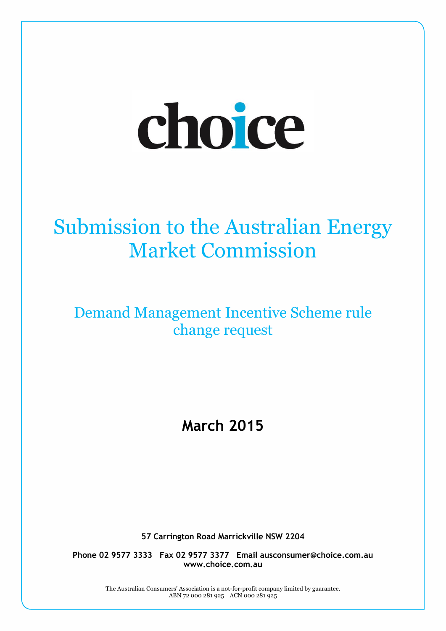# choice

# Submission to the Australian Energy Market Commission

### Demand Management Incentive Scheme rule change request

## **March 2015**

**57 Carrington Road Marrickville NSW 2204**

**Phone 02 9577 3333 Fax 02 9577 3377 Email ausconsumer@choice.com.au www.choice.com.au**

> The Australian Consumers' Association is a not-for-profit company limited by guarantee. ABN 72 000 281 925 ACN 000 281 925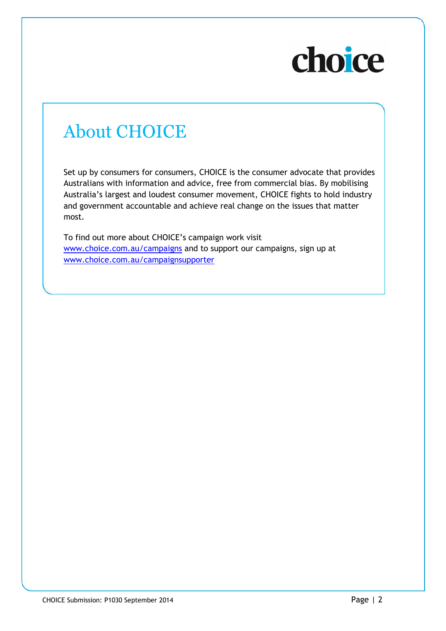# choice

## About CHOICE

Set up by consumers for consumers, CHOICE is the consumer advocate that provides Australians with information and advice, free from commercial bias. By mobilising Australia's largest and loudest consumer movement, CHOICE fights to hold industry and government accountable and achieve real change on the issues that matter most.

To find out more about CHOICE's campaign work visit [www.choice.com.au/campaigns](http://www.choice.com.au/campaigns) and to support our campaigns, sign up at [www.choice.com.au/campaignsupporter](http://www.choice.com.au/campaignsupporter)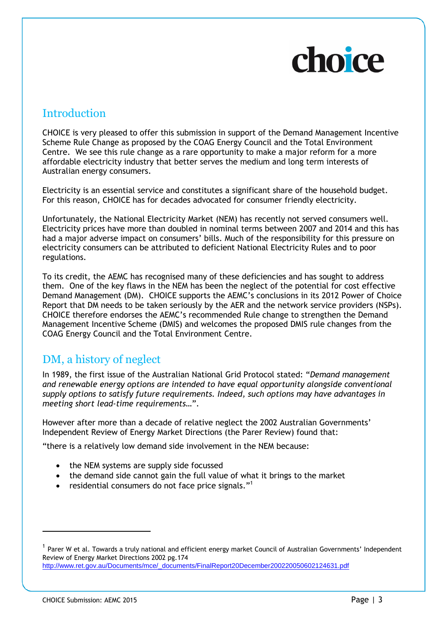# choice

#### **Introduction**

CHOICE is very pleased to offer this submission in support of the Demand Management Incentive Scheme Rule Change as proposed by the COAG Energy Council and the Total Environment Centre. We see this rule change as a rare opportunity to make a major reform for a more affordable electricity industry that better serves the medium and long term interests of Australian energy consumers.

Electricity is an essential service and constitutes a significant share of the household budget. For this reason, CHOICE has for decades advocated for consumer friendly electricity.

Unfortunately, the National Electricity Market (NEM) has recently not served consumers well. Electricity prices have more than doubled in nominal terms between 2007 and 2014 and this has had a major adverse impact on consumers' bills. Much of the responsibility for this pressure on electricity consumers can be attributed to deficient National Electricity Rules and to poor regulations.

To its credit, the AEMC has recognised many of these deficiencies and has sought to address them. One of the key flaws in the NEM has been the neglect of the potential for cost effective Demand Management (DM). CHOICE supports the AEMC's conclusions in its 2012 Power of Choice Report that DM needs to be taken seriously by the AER and the network service providers (NSPs). CHOICE therefore endorses the AEMC's recommended Rule change to strengthen the Demand Management Incentive Scheme (DMIS) and welcomes the proposed DMIS rule changes from the COAG Energy Council and the Total Environment Centre.

#### DM, a history of neglect

In 1989, the first issue of the Australian [National Grid Protocol](http://www.efa.com.au/Library/NationalGridProtocol_1992.pdf) stated: "*Demand management and renewable energy options are intended to have equal opportunity alongside conventional supply options to satisfy future requirements. Indeed, such options may have advantages in meeting short lead-time requirements…*".

However after more than a decade of relative neglect the 2002 Australian Governments' Independent Review of Energy Market Directions (the Parer Review) found that:

"there is a relatively low demand side involvement in the NEM because:

- the NEM systems are supply side focussed
- the demand side cannot gain the full value of what it brings to the market
- residential consumers do not face price signals."<sup>1</sup>

 $^{\rm 1}$  Parer W et al. Towards a truly national and efficient energy market Council of Australian Governments' Independent Review of Energy Market Directions 2002 pg.174 [http://www.ret.gov.au/Documents/mce/\\_documents/FinalReport20December200220050602124631.pdf](http://www.ret.gov.au/Documents/mce/_documents/FinalReport20December200220050602124631.pdf)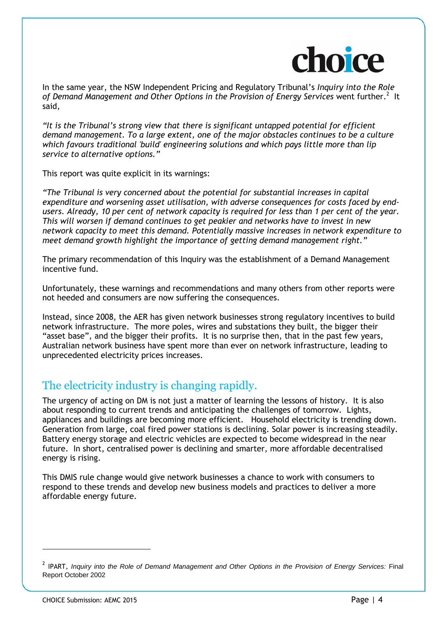

In the same year, the NSW Independent Pricing and Regulatory Tribunal's *Inquiry into the Role*  of Demand Management and Other Options in the Provision of Energy Services went further.<sup>2</sup> It said,

*"It is the Tribunal's strong view that there is significant untapped potential for efficient demand management. To a large extent, one of the major obstacles continues to be a culture which favours traditional 'build' engineering solutions and which pays little more than lip service to alternative options."* 

This report was quite explicit in its warnings:

*"The Tribunal is very concerned about the potential for substantial increases in capital expenditure and worsening asset utilisation, with adverse consequences for costs faced by endusers. Already, 10 per cent of network capacity is required for less than 1 per cent of the year. This will worsen if demand continues to get peakier and networks have to invest in new network capacity to meet this demand. Potentially massive increases in network expenditure to meet demand growth highlight the importance of getting demand management right."*

The primary recommendation of this Inquiry was the establishment of a Demand Management incentive fund.

Unfortunately, these warnings and recommendations and many others from other reports were not heeded and consumers are now suffering the consequences.

Instead, since 2008, the AER has given network businesses strong regulatory incentives to build network infrastructure. The more poles, wires and substations they built, the bigger their "asset base", and the bigger their profits. It is no surprise then, that in the past few years, Australian network business have spent more than ever on network infrastructure, leading to unprecedented electricity prices increases.

#### The electricity industry is changing rapidly.

The urgency of acting on DM is not just a matter of learning the lessons of history. It is also about responding to current trends and anticipating the challenges of tomorrow. Lights, appliances and buildings are becoming more efficient. Household electricity is trending down. Generation from large, coal fired power stations is declining. Solar power is increasing steadily. Battery energy storage and electric vehicles are expected to become widespread in the near future. In short, centralised power is declining and smarter, more affordable decentralised energy is rising.

This DMIS rule change would give network businesses a chance to work with consumers to respond to these trends and develop new business models and practices to deliver a more affordable energy future.

<sup>2</sup> IPART, *Inquiry into the Role of Demand Management and Other Options in the Provision of Energy Services:* Final Report October 2002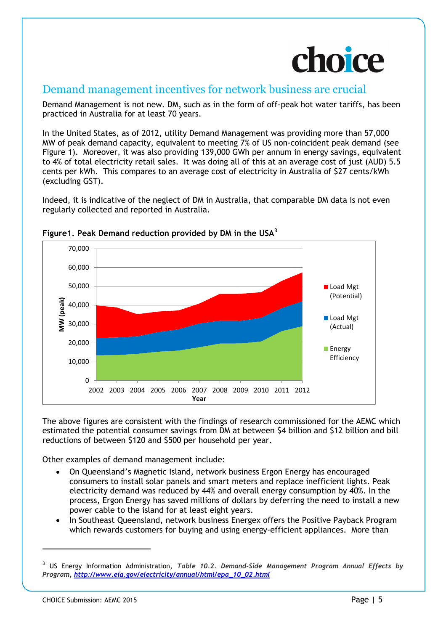

#### Demand management incentives for network business are crucial

Demand Management is not new. DM, such as in the form of off-peak hot water tariffs, has been practiced in Australia for at least 70 years.

In the United States, as of 2012, utility Demand Management was providing more than 57,000 MW of peak demand capacity, equivalent to meeting 7% of US non-coincident peak demand (see Figure 1). Moreover, it was also providing 139,000 GWh per annum in energy savings, equivalent to 4% of total electricity retail sales. It was doing all of this at an average cost of just (AUD) 5.5 cents per kWh. This compares to an average cost of electricity in Australia of \$27 cents/kWh (excluding GST).

Indeed, it is indicative of the neglect of DM in Australia, that comparable DM data is not even regularly collected and reported in Australia.



#### **Figure1. Peak Demand reduction provided by DM in the USA<sup>3</sup>**

The above figures are consistent with the findings of research commissioned for the AEMC which estimated the potential consumer savings from DM at between \$4 billion and \$12 billion and bill reductions of between \$120 and \$500 per household per year.

Other examples of demand management include:

- On Queensland's Magnetic Island, network business Ergon Energy has encouraged consumers to install solar panels and smart meters and replace inefficient lights. Peak [electricity demand was reduced by 44%](http://www.townsvillesolarcity.com.au/Portals/0/docs/2012/Appendix%2013%20-%20SolarCity_PRIA_Award_Submission.pdf) and overall energy consumption by 40%. In the process, Ergon Energy has saved millions of dollars by deferring the need to install a new power cable to the island for at least eight years.
- In Southeast Queensland, network business Energex offers the Positive Payback Program which rewards customers for buying and using energy-efficient appliances. More than

 $\overline{a}$ 

<sup>3</sup> US Energy Information Administration, *Table 10.2. Demand-Side Management Program Annual Effects by Program, [http://www.eia.gov/electricity/annual/html/epa\\_10\\_02.html](http://www.eia.gov/electricity/annual/html/epa_10_02.html)*